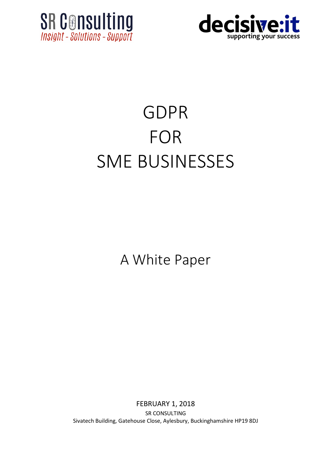



## GDPR FOR SME BUSINESSES

A White Paper

FEBRUARY 1, 2018 SR CONSULTING Sivatech Building, Gatehouse Close, Aylesbury, Buckinghamshire HP19 8DJ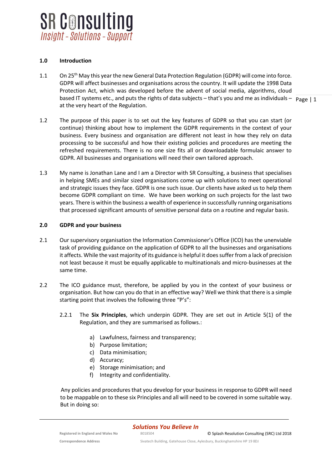

## **1.0 Introduction**

- based IT systems etc., and puts the rights of data subjects that's you and me as individuals  $p_{\text{age}}|1$ 1.1 On 25<sup>th</sup> May this year the new General Data Protection Regulation (GDPR) will come into force. GDPR will affect businesses and organisations across the country. It will update the 1998 Data Protection Act, which was developed before the advent of social media, algorithms, cloud at the very heart of the Regulation.
	-
- 1.2 The purpose of this paper is to set out the key features of GDPR so that you can start (or continue) thinking about how to implement the GDPR requirements in the context of your business. Every business and organisation are different not least in how they rely on data processing to be successful and how their existing policies and procedures are meeting the refreshed requirements. There is no one size fits all or downloadable formulaic answer to GDPR. All businesses and organisations will need their own tailored approach.
- 1.3 My name is Jonathan Lane and I am a Director with SR Consulting, a business that specialises in helping SMEs and similar sized organisations come up with solutions to meet operational and strategic issues they face. GDPR is one such issue. Our clients have asked us to help them become GDPR compliant on time. We have been working on such projects for the last two years. There is within the business a wealth of experience in successfully running organisations that processed significant amounts of sensitive personal data on a routine and regular basis.

## **2.0 GDPR and your business**

- 2.1 Our supervisory organisation the Information Commissioner's Office (ICO) has the unenviable task of providing guidance on the application of GDPR to all the businesses and organisations it affects. While the vast majority of its guidance is helpful it does suffer from a lack of precision not least because it must be equally applicable to multinationals and micro-businesses at the same time.
- 2.2 The ICO guidance must, therefore, be applied by you in the context of your business or organisation. But how can you do that in an effective way? Well we think that there is a simple starting point that involves the following three "P's":
	- 2.2.1 The **Six Principles**, which underpin GDPR. They are set out in Article 5(1) of the Regulation, and they are summarised as follows.:
		- a) Lawfulness, fairness and transparency;
		- b) Purpose limitation;
		- c) Data minimisation;
		- d) Accuracy;
		- e) Storage minimisation; and
		- f) Integrity and confidentiality.

Any policies and procedures that you develop for your business in response to GDPR will need to be mappable on to these six Principles and all will need to be covered in some suitable way. But in doing so:

*Solutions You Believe In*

**Correspondence Address** Sivatech Building, Gatehouse Close, Aylesbury, Buckinghamshire HP 19 8DJ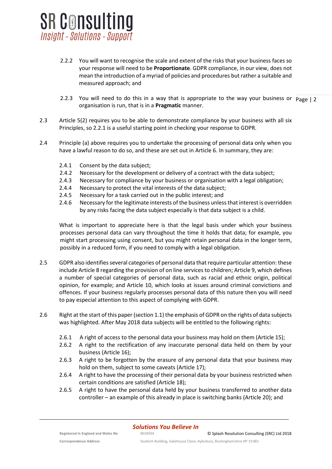

- 2.2.2 You will want to recognise the scale and extent of the risks that your business faces so your response will need to be **Proportionate**. GDPR compliance, in our view, does not mean the introduction of a myriad of policies and procedures but rather a suitable and measured approach; and
- 2.2.3 You will need to do this in a way that is appropriate to the way your business or Page | 2 organisation is run, that is in a **Pragmatic** manner.
- 2.3 Article 5(2) requires you to be able to demonstrate compliance by your business with all six Principles, so 2.2.1 is a useful starting point in checking your response to GDPR.
- 2.4 Principle (a) above requires you to undertake the processing of personal data only when you have a lawful reason to do so, and these are set out in Article 6. In summary, they are:
	- 2.4.1 Consent by the data subject;
	- 2.4.2 Necessary for the development or delivery of a contract with the data subject;
	- 2.4.3 Necessary for compliance by your business or organisation with a legal obligation;
	- 2.4.4 Necessary to protect the vital interests of the data subject;
	- 2.4.5 Necessary for a task carried out in the public interest; and
	- 2.4.6 Necessary for the legitimate interests of the business unless that interest is overridden by any risks facing the data subject especially is that data subject is a child.

What is important to appreciate here is that the legal basis under which your business processes personal data can vary throughout the time it holds that data; for example, you might start processing using consent, but you might retain personal data in the longer term, possibly in a reduced form, if you need to comply with a legal obligation.

- 2.5 GDPR also identifies several categories of personal data that require particular attention: these include Article 8 regarding the provision of on line services to children; Article 9, which defines a number of special categories of personal data, such as racial and ethnic origin, political opinion, for example; and Article 10, which looks at issues around criminal convictions and offences. If your business regularly processes personal data of this nature then you will need to pay especial attention to this aspect of complying with GDPR.
- 2.6 Right at the start of this paper (section 1.1) the emphasis of GDPR on the rights of data subjects was highlighted. After May 2018 data subjects will be entitled to the following rights:
	- 2.6.1 A right of access to the personal data your business may hold on them (Article 15);
	- 2.6.2 A right to the rectification of any inaccurate personal data held on them by your business (Article 16);
	- 2.6.3 A right to be forgotten by the erasure of any personal data that your business may hold on them, subject to some caveats (Article 17);
	- 2.6.4 A right to have the processing of their personal data by your business restricted when certain conditions are satisfied (Article 18);
	- 2.6.5 A right to have the personal data held by your business transferred to another data controller – an example of this already in place is switching banks (Article 20); and

*Solutions You Believe In*

© Splash Resolution Consulting (SRC) Ltd 2018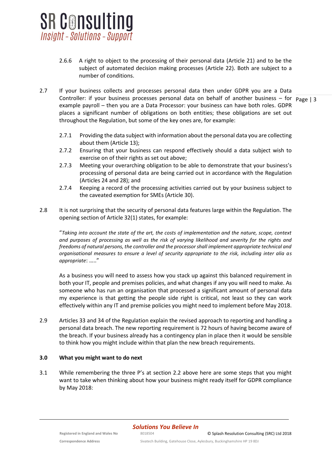

- 2.6.6 A right to object to the processing of their personal data (Article 21) and to be the subject of automated decision making processes (Article 22). Both are subject to a number of conditions.
- Controller: if your business processes personal data on behalf of another business for p<sub>age</sub> | 3 2.7 If your business collects and processes personal data then under GDPR you are a Data example payroll – then you are a Data Processor: your business can have both roles. GDPR places a significant number of obligations on both entities; these obligations are set out throughout the Regulation, but some of the key ones are, for example:
	- 2.7.1 Providing the data subject with information about the personal data you are collecting about them (Article 13);
	- 2.7.2 Ensuring that your business can respond effectively should a data subject wish to exercise on of their rights as set out above;
	- 2.7.3 Meeting your overarching obligation to be able to demonstrate that your business's processing of personal data are being carried out in accordance with the Regulation (Articles 24 and 28); and
	- 2.7.4 Keeping a record of the processing activities carried out by your business subject to the caveated exemption for SMEs (Article 30).
- 2.8 It is not surprising that the security of personal data features large within the Regulation. The opening section of Article 32(1) states, for example:

"*Taking into account the state of the art, the costs of implementation and the nature, scope, context and purposes of processing as well as the risk of varying likelihood and severity for the rights and freedoms of natural persons, the controller and the processor shall implement appropriate technical and organisational measures to ensure a level of security appropriate to the risk, including inter alia as appropriate*: ….."

As a business you will need to assess how you stack up against this balanced requirement in both your IT, people and premises policies, and what changes if any you will need to make. As someone who has run an organisation that processed a significant amount of personal data my experience is that getting the people side right is critical, not least so they can work effectively within any IT and premise policies you might need to implement before May 2018.

2.9 Articles 33 and 34 of the Regulation explain the revised approach to reporting and handling a personal data breach. The new reporting requirement is 72 hours of having become aware of the breach. If your business already has a contingency plan in place then it would be sensible to think how you might include within that plan the new breach requirements.

## **3.0 What you might want to do next**

3.1 While remembering the three P's at section 2.2 above here are some steps that you might want to take when thinking about how your business might ready itself for GDPR compliance by May 2018: